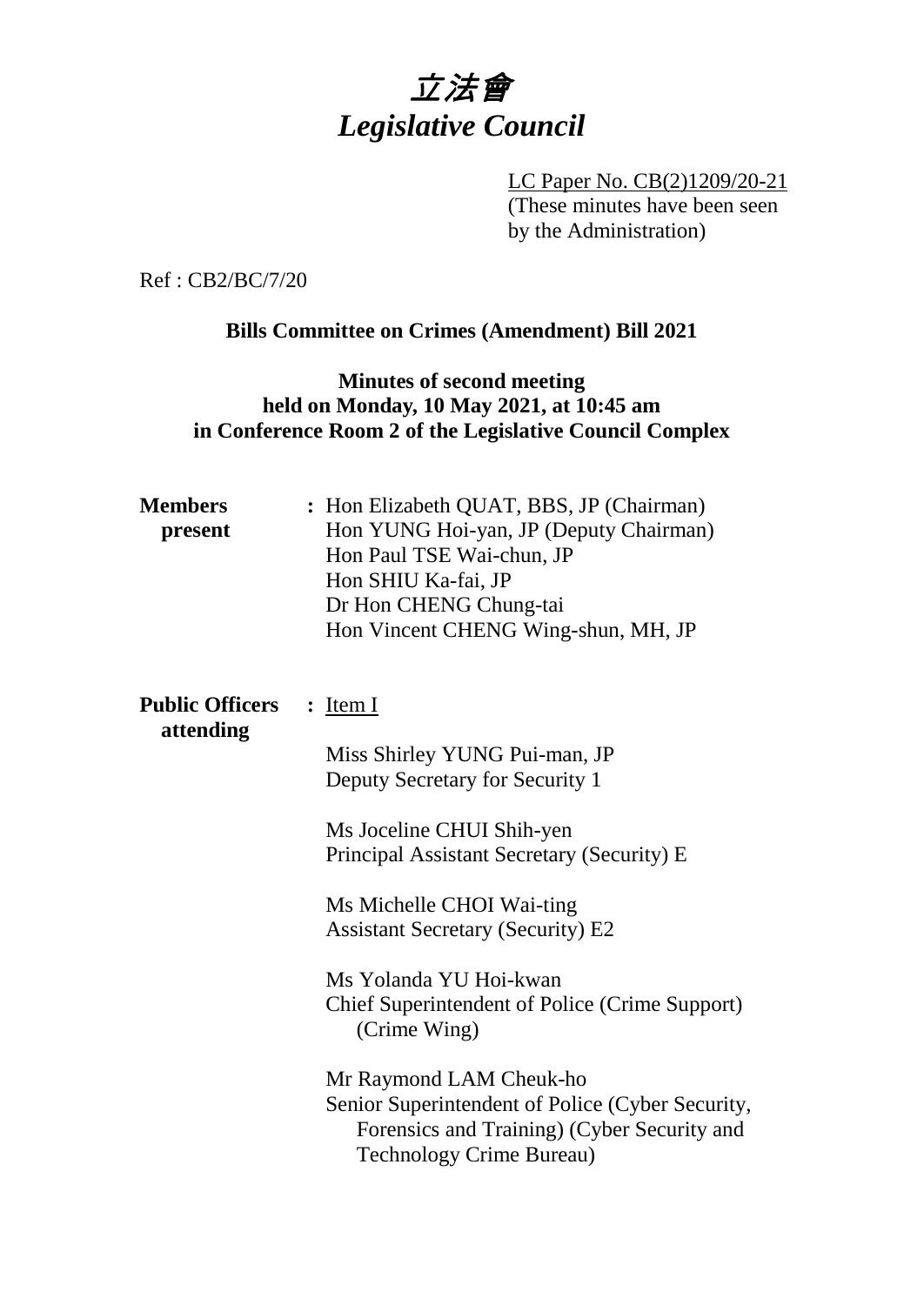

LC Paper No. CB(2)1209/20-21 (These minutes have been seen by the Administration)

Ref : CB2/BC/7/20

#### **Bills Committee on Crimes (Amendment) Bill 2021**

## **Minutes of second meeting held on Monday, 10 May 2021, at 10:45 am in Conference Room 2 of the Legislative Council Complex**

| <b>Members</b><br>present           | : Hon Elizabeth QUAT, BBS, JP (Chairman)<br>Hon YUNG Hoi-yan, JP (Deputy Chairman)<br>Hon Paul TSE Wai-chun, JP<br>Hon SHIU Ka-fai, JP<br>Dr Hon CHENG Chung-tai<br>Hon Vincent CHENG Wing-shun, MH, JP |
|-------------------------------------|---------------------------------------------------------------------------------------------------------------------------------------------------------------------------------------------------------|
| <b>Public Officers</b><br>attending | $:$ Item I                                                                                                                                                                                              |
|                                     | Miss Shirley YUNG Pui-man, JP<br>Deputy Secretary for Security 1                                                                                                                                        |
|                                     | Ms Joceline CHUI Shih-yen<br>Principal Assistant Secretary (Security) E                                                                                                                                 |
|                                     | Ms Michelle CHOI Wai-ting<br><b>Assistant Secretary (Security) E2</b>                                                                                                                                   |
|                                     | Ms Yolanda YU Hoi-kwan<br><b>Chief Superintendent of Police (Crime Support)</b><br>(Crime Wing)                                                                                                         |
|                                     | Mr Raymond LAM Cheuk-ho<br>Senior Superintendent of Police (Cyber Security,<br>Forensics and Training) (Cyber Security and<br><b>Technology Crime Bureau)</b>                                           |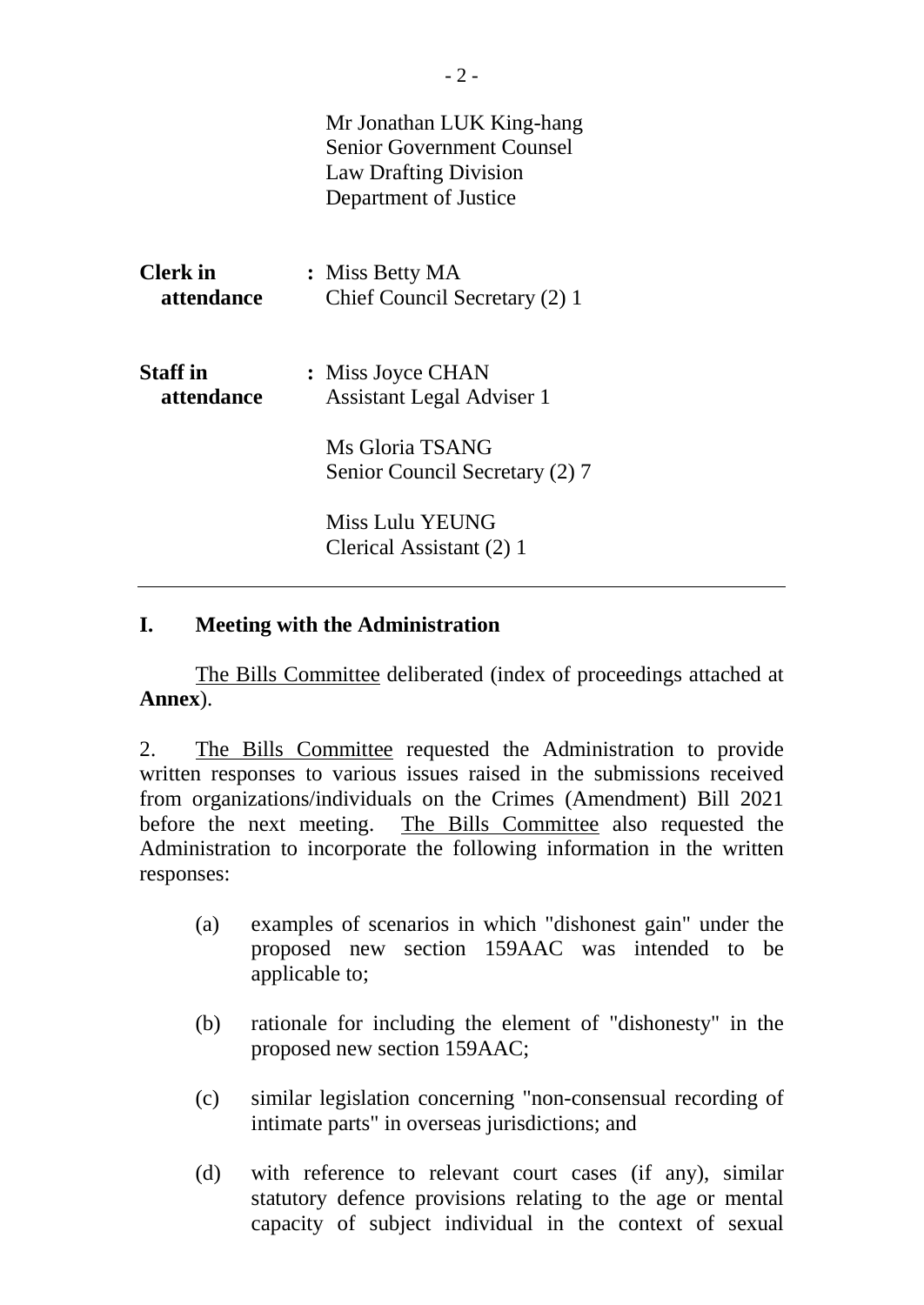|                               | Mr Jonathan LUK King-hang<br><b>Senior Government Counsel</b><br><b>Law Drafting Division</b><br>Department of Justice |
|-------------------------------|------------------------------------------------------------------------------------------------------------------------|
| <b>Clerk</b> in<br>attendance | : Miss Betty MA<br>Chief Council Secretary (2) 1                                                                       |
| <b>Staff</b> in<br>attendance | : Miss Joyce CHAN<br><b>Assistant Legal Adviser 1</b>                                                                  |
|                               | Ms Gloria TSANG<br>Senior Council Secretary (2) 7                                                                      |
|                               | Miss Lulu YEUNG<br>Clerical Assistant (2) 1                                                                            |

### **I. Meeting with the Administration**

The Bills Committee deliberated (index of proceedings attached at **Annex**).

2. The Bills Committee requested the Administration to provide written responses to various issues raised in the submissions received from organizations/individuals on the Crimes (Amendment) Bill 2021 before the next meeting. The Bills Committee also requested the Administration to incorporate the following information in the written responses:

- (a) examples of scenarios in which "dishonest gain" under the proposed new section 159AAC was intended to be applicable to;
- (b) rationale for including the element of "dishonesty" in the proposed new section 159AAC;
- (c) similar legislation concerning "non-consensual recording of intimate parts" in overseas jurisdictions; and
- (d) with reference to relevant court cases (if any), similar statutory defence provisions relating to the age or mental capacity of subject individual in the context of sexual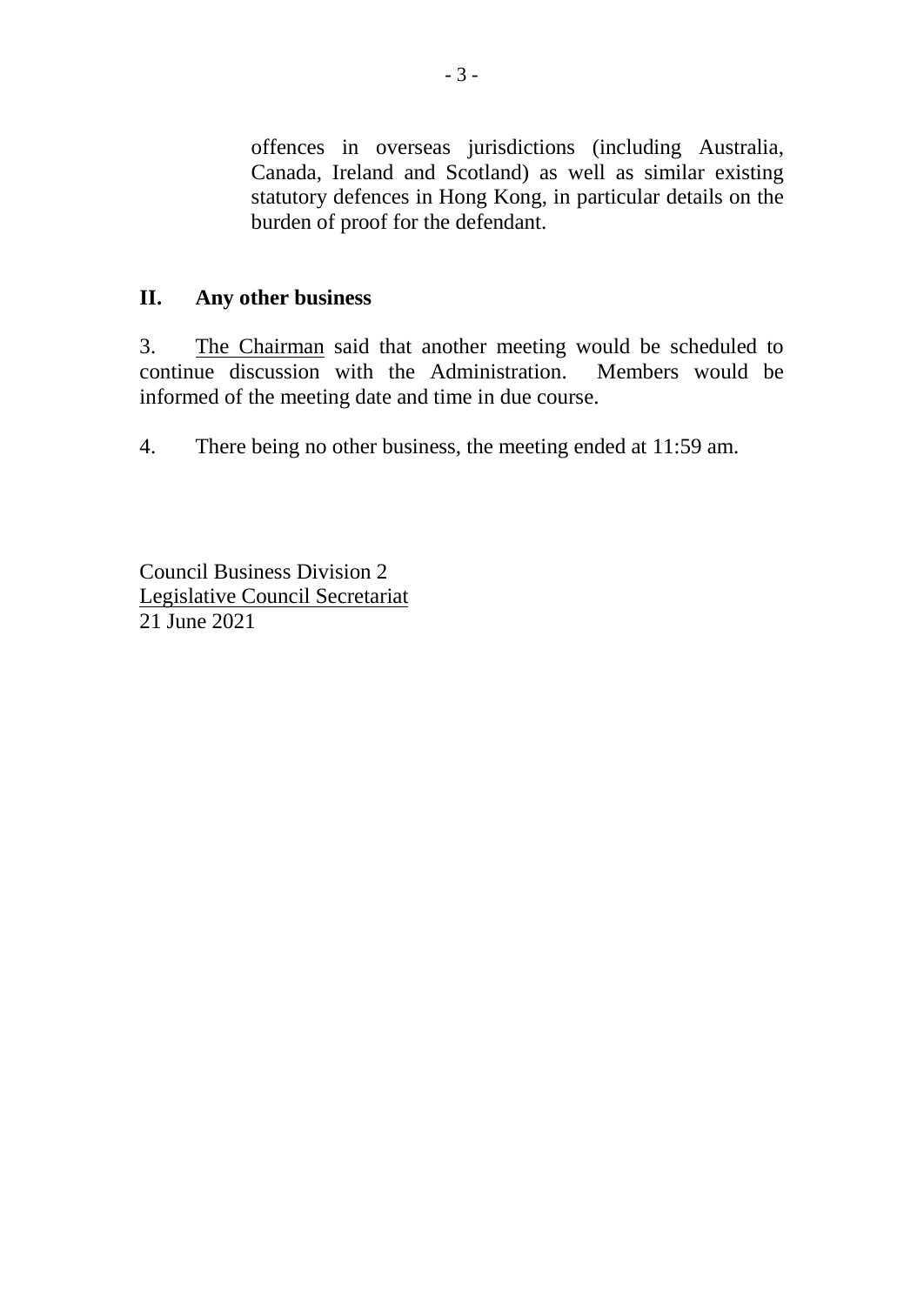offences in overseas jurisdictions (including Australia, Canada, Ireland and Scotland) as well as similar existing statutory defences in Hong Kong, in particular details on the burden of proof for the defendant.

## **II. Any other business**

3. The Chairman said that another meeting would be scheduled to continue discussion with the Administration. Members would be informed of the meeting date and time in due course.

4. There being no other business, the meeting ended at 11:59 am.

Council Business Division 2 Legislative Council Secretariat 21 June 2021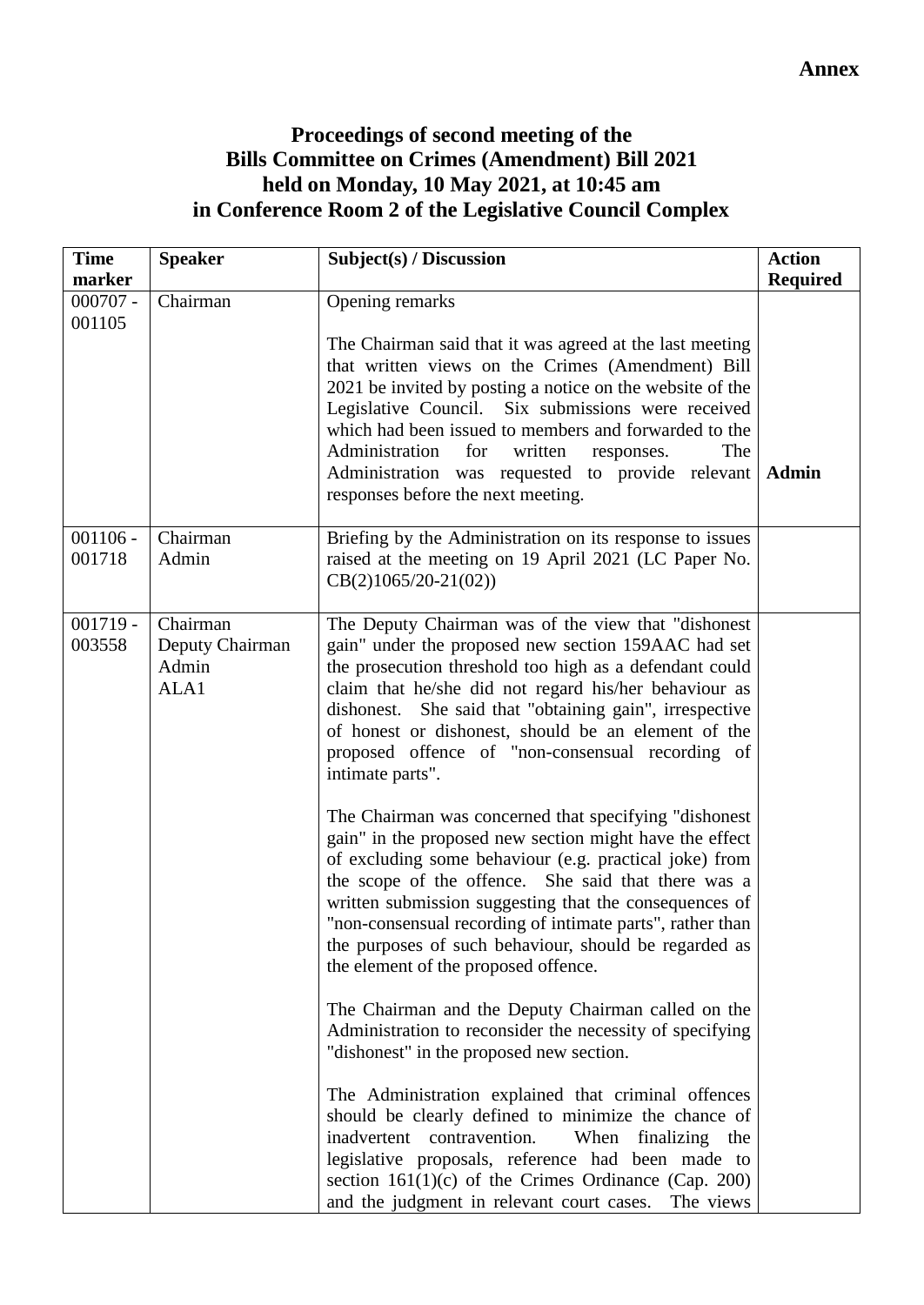# **Proceedings of second meeting of the Bills Committee on Crimes (Amendment) Bill 2021 held on Monday, 10 May 2021, at 10:45 am in Conference Room 2 of the Legislative Council Complex**

| <b>Time</b> | <b>Speaker</b>  | Subject(s) / Discussion                                                                                            | <b>Action</b>   |
|-------------|-----------------|--------------------------------------------------------------------------------------------------------------------|-----------------|
| marker      |                 |                                                                                                                    | <b>Required</b> |
| $000707 -$  | Chairman        | Opening remarks                                                                                                    |                 |
| 001105      |                 |                                                                                                                    |                 |
|             |                 | The Chairman said that it was agreed at the last meeting                                                           |                 |
|             |                 | that written views on the Crimes (Amendment) Bill                                                                  |                 |
|             |                 | 2021 be invited by posting a notice on the website of the                                                          |                 |
|             |                 | Legislative Council. Six submissions were received                                                                 |                 |
|             |                 | which had been issued to members and forwarded to the<br>Administration<br>for<br>written<br>The                   |                 |
|             |                 | responses.<br>Administration was requested to provide relevant Admin                                               |                 |
|             |                 | responses before the next meeting.                                                                                 |                 |
|             |                 |                                                                                                                    |                 |
| $001106 -$  | Chairman        | Briefing by the Administration on its response to issues                                                           |                 |
| 001718      | Admin           | raised at the meeting on 19 April 2021 (LC Paper No.                                                               |                 |
|             |                 | $CB(2)1065/20-21(02))$                                                                                             |                 |
|             |                 |                                                                                                                    |                 |
| $001719 -$  | Chairman        | The Deputy Chairman was of the view that "dishonest"                                                               |                 |
| 003558      | Deputy Chairman | gain" under the proposed new section 159AAC had set                                                                |                 |
|             | Admin<br>ALA1   | the prosecution threshold too high as a defendant could                                                            |                 |
|             |                 | claim that he/she did not regard his/her behaviour as<br>dishonest. She said that "obtaining gain", irrespective   |                 |
|             |                 | of honest or dishonest, should be an element of the                                                                |                 |
|             |                 | proposed offence of "non-consensual recording of                                                                   |                 |
|             |                 | intimate parts".                                                                                                   |                 |
|             |                 |                                                                                                                    |                 |
|             |                 | The Chairman was concerned that specifying "dishonest"                                                             |                 |
|             |                 | gain" in the proposed new section might have the effect                                                            |                 |
|             |                 | of excluding some behaviour (e.g. practical joke) from                                                             |                 |
|             |                 | the scope of the offence. She said that there was a                                                                |                 |
|             |                 | written submission suggesting that the consequences of                                                             |                 |
|             |                 | "non-consensual recording of intimate parts", rather than<br>the purposes of such behaviour, should be regarded as |                 |
|             |                 | the element of the proposed offence.                                                                               |                 |
|             |                 |                                                                                                                    |                 |
|             |                 | The Chairman and the Deputy Chairman called on the                                                                 |                 |
|             |                 | Administration to reconsider the necessity of specifying                                                           |                 |
|             |                 | "dishonest" in the proposed new section.                                                                           |                 |
|             |                 |                                                                                                                    |                 |
|             |                 | The Administration explained that criminal offences                                                                |                 |
|             |                 | should be clearly defined to minimize the chance of                                                                |                 |
|             |                 | inadvertent contravention.<br>When<br>finalizing the<br>legislative proposals, reference had been made to          |                 |
|             |                 | section $161(1)(c)$ of the Crimes Ordinance (Cap. 200)                                                             |                 |
|             |                 | and the judgment in relevant court cases.<br>The views                                                             |                 |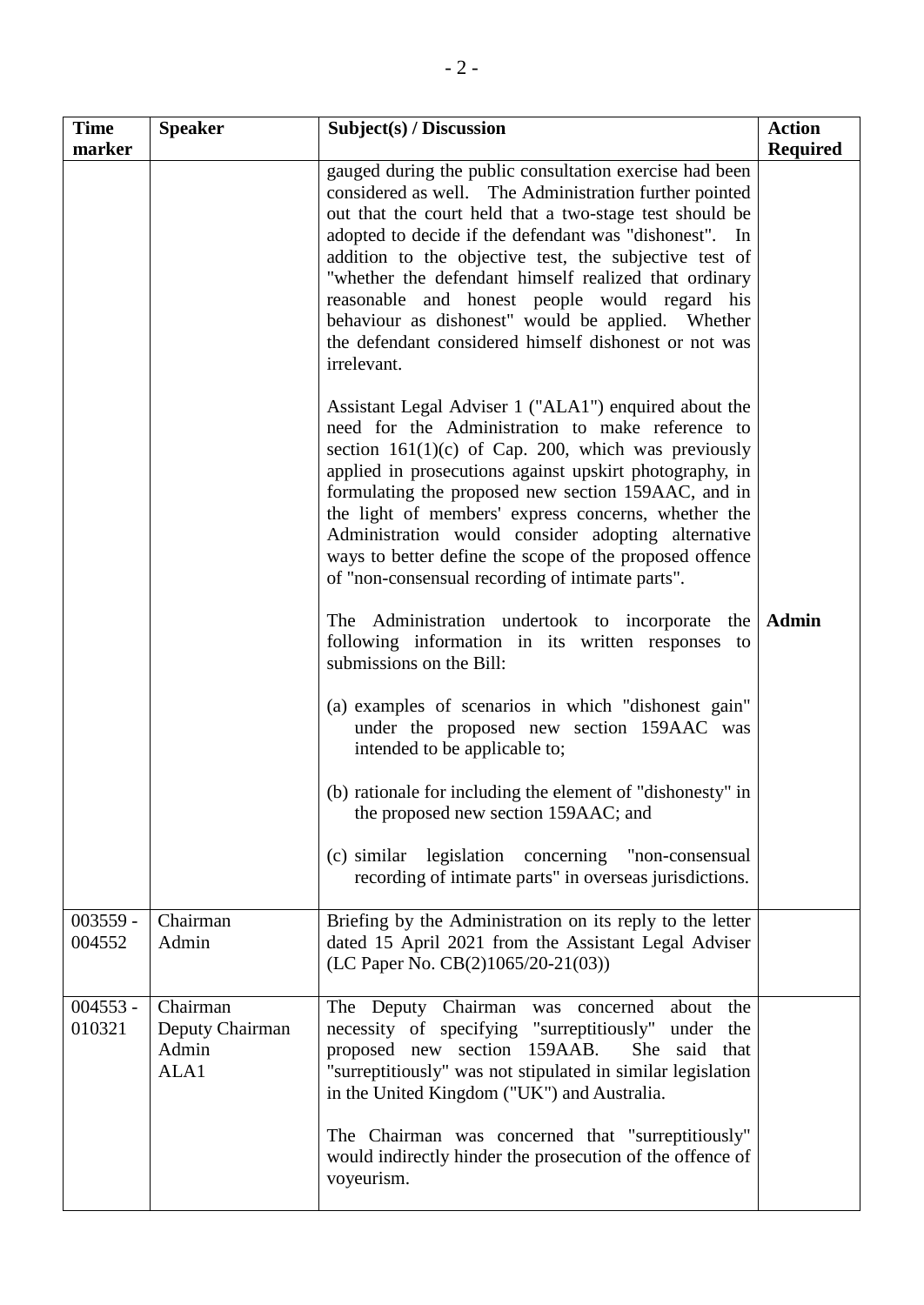| <b>Time</b><br>marker | <b>Speaker</b>                               | Subject(s) / Discussion                                                                                                                                                                                                                                                                                                                                                                                                                                                                                                                 | <b>Action</b><br><b>Required</b> |
|-----------------------|----------------------------------------------|-----------------------------------------------------------------------------------------------------------------------------------------------------------------------------------------------------------------------------------------------------------------------------------------------------------------------------------------------------------------------------------------------------------------------------------------------------------------------------------------------------------------------------------------|----------------------------------|
|                       |                                              | gauged during the public consultation exercise had been<br>considered as well. The Administration further pointed<br>out that the court held that a two-stage test should be<br>adopted to decide if the defendant was "dishonest". In<br>addition to the objective test, the subjective test of<br>"whether the defendant himself realized that ordinary<br>reasonable and honest people would regard his<br>behaviour as dishonest" would be applied. Whether<br>the defendant considered himself dishonest or not was<br>irrelevant. |                                  |
|                       |                                              | Assistant Legal Adviser 1 ("ALA1") enquired about the<br>need for the Administration to make reference to<br>section $161(1)(c)$ of Cap. 200, which was previously<br>applied in prosecutions against upskirt photography, in<br>formulating the proposed new section 159AAC, and in<br>the light of members' express concerns, whether the<br>Administration would consider adopting alternative<br>ways to better define the scope of the proposed offence<br>of "non-consensual recording of intimate parts".                        |                                  |
|                       |                                              | The Administration undertook to incorporate the<br>following information in its written responses to<br>submissions on the Bill:                                                                                                                                                                                                                                                                                                                                                                                                        | <b>Admin</b>                     |
|                       |                                              | (a) examples of scenarios in which "dishonest gain"<br>under the proposed new section 159AAC was<br>intended to be applicable to;                                                                                                                                                                                                                                                                                                                                                                                                       |                                  |
|                       |                                              | (b) rationale for including the element of "dishonesty" in<br>the proposed new section 159AAC; and                                                                                                                                                                                                                                                                                                                                                                                                                                      |                                  |
|                       |                                              | (c) similar legislation concerning "non-consensual<br>recording of intimate parts" in overseas jurisdictions.                                                                                                                                                                                                                                                                                                                                                                                                                           |                                  |
| $003559 -$<br>004552  | Chairman<br>Admin                            | Briefing by the Administration on its reply to the letter<br>dated 15 April 2021 from the Assistant Legal Adviser<br>(LC Paper No. CB(2)1065/20-21(03))                                                                                                                                                                                                                                                                                                                                                                                 |                                  |
| $004553 -$<br>010321  | Chairman<br>Deputy Chairman<br>Admin<br>ALA1 | The Deputy Chairman was concerned<br>about the<br>necessity of specifying "surreptitiously" under the<br>proposed new section 159AAB.<br>She said that<br>"surreptitiously" was not stipulated in similar legislation<br>in the United Kingdom ("UK") and Australia.                                                                                                                                                                                                                                                                    |                                  |
|                       |                                              | The Chairman was concerned that "surreptitiously"<br>would indirectly hinder the prosecution of the offence of<br>voyeurism.                                                                                                                                                                                                                                                                                                                                                                                                            |                                  |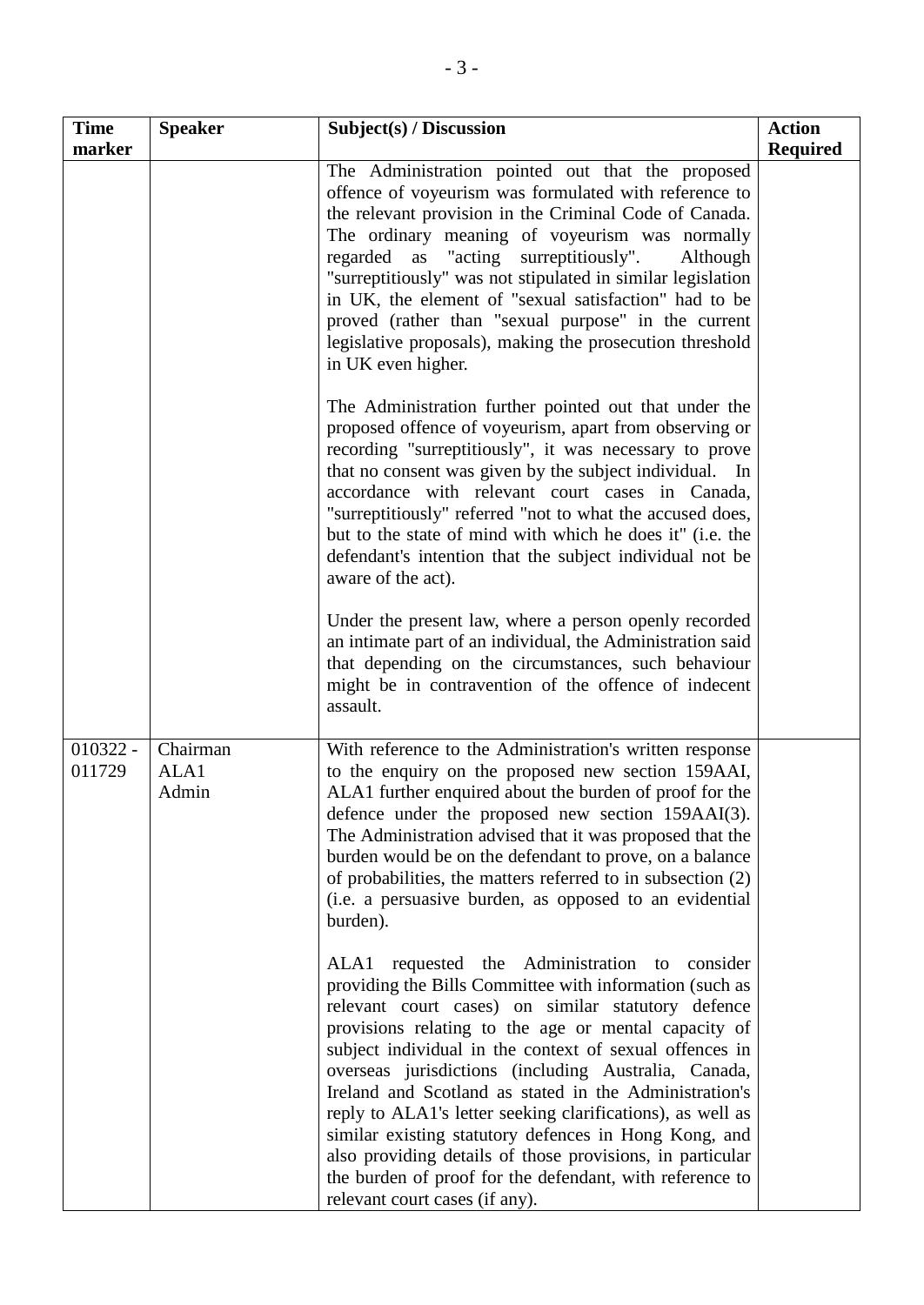| <b>Time</b><br>marker | <b>Speaker</b>            | Subject(s) / Discussion                                                                                                                                                                                                                                                                                                                                                                                                                                                                                                                                                                                                                                                               | <b>Action</b><br><b>Required</b> |
|-----------------------|---------------------------|---------------------------------------------------------------------------------------------------------------------------------------------------------------------------------------------------------------------------------------------------------------------------------------------------------------------------------------------------------------------------------------------------------------------------------------------------------------------------------------------------------------------------------------------------------------------------------------------------------------------------------------------------------------------------------------|----------------------------------|
|                       |                           | The Administration pointed out that the proposed<br>offence of voyeurism was formulated with reference to<br>the relevant provision in the Criminal Code of Canada.<br>The ordinary meaning of voyeurism was normally<br>regarded as "acting surreptitiously".<br>Although<br>"surreptitiously" was not stipulated in similar legislation<br>in UK, the element of "sexual satisfaction" had to be<br>proved (rather than "sexual purpose" in the current<br>legislative proposals), making the prosecution threshold<br>in UK even higher.                                                                                                                                           |                                  |
|                       |                           | The Administration further pointed out that under the<br>proposed offence of voyeurism, apart from observing or<br>recording "surreptitiously", it was necessary to prove<br>that no consent was given by the subject individual. In<br>accordance with relevant court cases in Canada,<br>"surreptitiously" referred "not to what the accused does,<br>but to the state of mind with which he does it" (i.e. the<br>defendant's intention that the subject individual not be<br>aware of the act).                                                                                                                                                                                   |                                  |
|                       |                           | Under the present law, where a person openly recorded<br>an intimate part of an individual, the Administration said<br>that depending on the circumstances, such behaviour<br>might be in contravention of the offence of indecent<br>assault.                                                                                                                                                                                                                                                                                                                                                                                                                                        |                                  |
| $010322 -$<br>011729  | Chairman<br>ALA1<br>Admin | With reference to the Administration's written response<br>to the enquiry on the proposed new section 159AAI,<br>ALA1 further enquired about the burden of proof for the<br>defence under the proposed new section 159AAI(3).<br>The Administration advised that it was proposed that the<br>burden would be on the defendant to prove, on a balance<br>of probabilities, the matters referred to in subsection (2)<br>(i.e. a persuasive burden, as opposed to an evidential<br>burden).                                                                                                                                                                                             |                                  |
|                       |                           | ALA1 requested the Administration to consider<br>providing the Bills Committee with information (such as<br>relevant court cases) on similar statutory defence<br>provisions relating to the age or mental capacity of<br>subject individual in the context of sexual offences in<br>overseas jurisdictions (including Australia, Canada,<br>Ireland and Scotland as stated in the Administration's<br>reply to ALA1's letter seeking clarifications), as well as<br>similar existing statutory defences in Hong Kong, and<br>also providing details of those provisions, in particular<br>the burden of proof for the defendant, with reference to<br>relevant court cases (if any). |                                  |